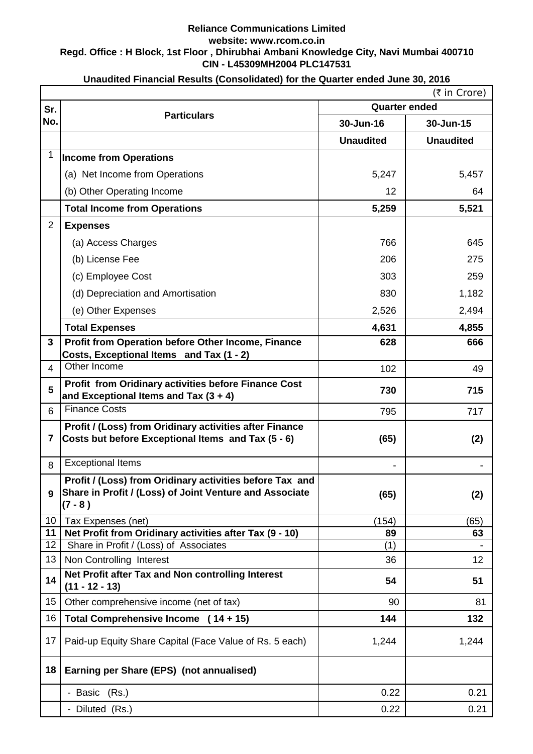## **CIN - L45309MH2004 PLC147531 Reliance Communications Limited website: www.rcom.co.in Regd. Office : H Block, 1st Floor , Dhirubhai Ambani Knowledge City, Navi Mumbai 400710**

|                | (₹ in Crore)                                                          |                              |                  |  |  |
|----------------|-----------------------------------------------------------------------|------------------------------|------------------|--|--|
| Sr.<br>No.     | <b>Particulars</b>                                                    | <b>Quarter ended</b>         |                  |  |  |
|                |                                                                       | 30-Jun-16                    | 30-Jun-15        |  |  |
|                |                                                                       | <b>Unaudited</b>             | <b>Unaudited</b> |  |  |
| $\mathbf{1}$   | <b>Income from Operations</b>                                         |                              |                  |  |  |
|                | (a) Net Income from Operations                                        | 5,247                        | 5,457            |  |  |
|                | (b) Other Operating Income                                            | 12                           | 64               |  |  |
|                | <b>Total Income from Operations</b>                                   | 5,259                        | 5,521            |  |  |
| $\overline{2}$ | <b>Expenses</b>                                                       |                              |                  |  |  |
|                | (a) Access Charges                                                    | 766                          | 645              |  |  |
|                | (b) License Fee                                                       | 206                          | 275              |  |  |
|                | (c) Employee Cost                                                     | 303                          | 259              |  |  |
|                | (d) Depreciation and Amortisation                                     | 830                          | 1,182            |  |  |
|                | (e) Other Expenses                                                    | 2,526                        | 2,494            |  |  |
|                | <b>Total Expenses</b>                                                 | 4,631                        | 4,855            |  |  |
| $\mathbf{3}$   | Profit from Operation before Other Income, Finance                    | 628                          | 666              |  |  |
|                | Costs, Exceptional Items and Tax (1 - 2)<br>Other Income              |                              |                  |  |  |
| 4              | Profit from Oridinary activities before Finance Cost                  | 102                          | 49               |  |  |
| 5              | and Exceptional Items and Tax $(3 + 4)$                               | 730                          | 715              |  |  |
| 6              | <b>Finance Costs</b>                                                  | 795                          | 717              |  |  |
|                | Profit / (Loss) from Oridinary activities after Finance               |                              |                  |  |  |
| 7              | Costs but before Exceptional Items and Tax (5 - 6)                    | (65)                         | (2)              |  |  |
| 8              | <b>Exceptional Items</b>                                              | $\qquad \qquad \blacksquare$ |                  |  |  |
|                | Profit / (Loss) from Oridinary activities before Tax and              |                              |                  |  |  |
| 9              | Share in Profit / (Loss) of Joint Venture and Associate<br>$(7 - 8)$  | (65)                         | (2)              |  |  |
| 10             | Tax Expenses (net)                                                    | (154)                        | (65)             |  |  |
| 11             | Net Profit from Oridinary activities after Tax (9 - 10)               | 89                           | 63               |  |  |
| 12             | Share in Profit / (Loss) of Associates                                | (1)                          |                  |  |  |
| 13             | Non Controlling Interest                                              | 36                           | 12               |  |  |
| 14             | Net Profit after Tax and Non controlling Interest<br>$(11 - 12 - 13)$ | 54                           | 51               |  |  |
| 15             | Other comprehensive income (net of tax)                               | 90                           | 81               |  |  |
| 16             | Total Comprehensive Income (14 + 15)                                  | 144                          | 132              |  |  |
| 17             | Paid-up Equity Share Capital (Face Value of Rs. 5 each)               | 1,244                        | 1,244            |  |  |
| 18             | Earning per Share (EPS) (not annualised)                              |                              |                  |  |  |
|                | - Basic (Rs.)                                                         | 0.22                         | 0.21             |  |  |
|                | - Diluted (Rs.)                                                       | 0.22                         | 0.21             |  |  |

## **Unaudited Financial Results (Consolidated) for the Quarter ended June 30, 2016**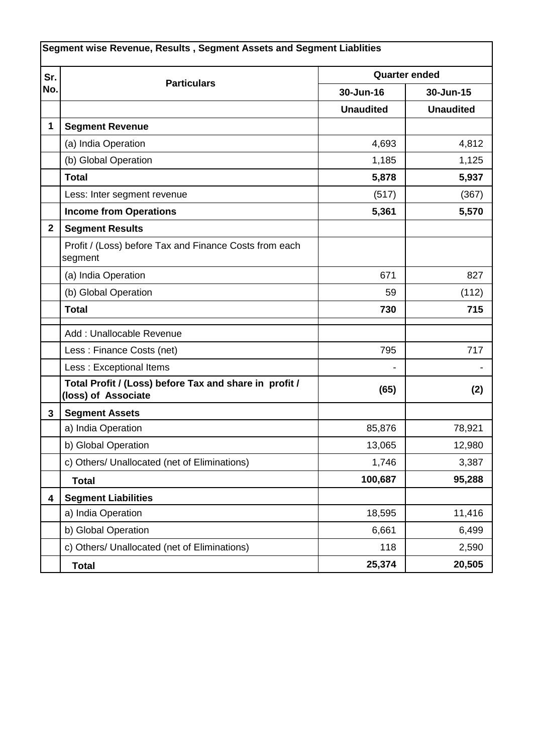| Segment wise Revenue, Results, Segment Assets and Segment Liablities |                                                                               |                      |                  |  |  |
|----------------------------------------------------------------------|-------------------------------------------------------------------------------|----------------------|------------------|--|--|
| Sr.<br>No.                                                           | <b>Particulars</b>                                                            | <b>Quarter ended</b> |                  |  |  |
|                                                                      |                                                                               | 30-Jun-16            | 30-Jun-15        |  |  |
|                                                                      |                                                                               | <b>Unaudited</b>     | <b>Unaudited</b> |  |  |
| $\mathbf{1}$                                                         | <b>Segment Revenue</b>                                                        |                      |                  |  |  |
|                                                                      | (a) India Operation                                                           | 4,693                | 4,812            |  |  |
|                                                                      | (b) Global Operation                                                          | 1,185                | 1,125            |  |  |
|                                                                      | <b>Total</b>                                                                  | 5,878                | 5,937            |  |  |
|                                                                      | Less: Inter segment revenue                                                   | (517)                | (367)            |  |  |
|                                                                      | <b>Income from Operations</b>                                                 | 5,361                | 5,570            |  |  |
| $\mathbf{2}$                                                         | <b>Segment Results</b>                                                        |                      |                  |  |  |
|                                                                      | Profit / (Loss) before Tax and Finance Costs from each<br>segment             |                      |                  |  |  |
|                                                                      | (a) India Operation                                                           | 671                  | 827              |  |  |
|                                                                      | (b) Global Operation                                                          | 59                   | (112)            |  |  |
|                                                                      | <b>Total</b>                                                                  | 730                  | 715              |  |  |
|                                                                      | Add: Unallocable Revenue                                                      |                      |                  |  |  |
|                                                                      | Less: Finance Costs (net)                                                     | 795                  | 717              |  |  |
|                                                                      | Less: Exceptional Items                                                       |                      |                  |  |  |
|                                                                      | Total Profit / (Loss) before Tax and share in profit /<br>(loss) of Associate | (65)                 | (2)              |  |  |
| 3                                                                    | <b>Segment Assets</b>                                                         |                      |                  |  |  |
|                                                                      | a) India Operation                                                            | 85,876               | 78,921           |  |  |
|                                                                      | b) Global Operation                                                           | 13,065               | 12,980           |  |  |
|                                                                      | c) Others/ Unallocated (net of Eliminations)                                  | 1,746                | 3,387            |  |  |
|                                                                      | <b>Total</b>                                                                  | 100,687              | 95,288           |  |  |
| 4                                                                    | <b>Segment Liabilities</b>                                                    |                      |                  |  |  |
|                                                                      | a) India Operation                                                            | 18,595               | 11,416           |  |  |
|                                                                      | b) Global Operation                                                           | 6,661                | 6,499            |  |  |
|                                                                      | c) Others/ Unallocated (net of Eliminations)                                  | 118                  | 2,590            |  |  |
|                                                                      | <b>Total</b>                                                                  | 25,374               | 20,505           |  |  |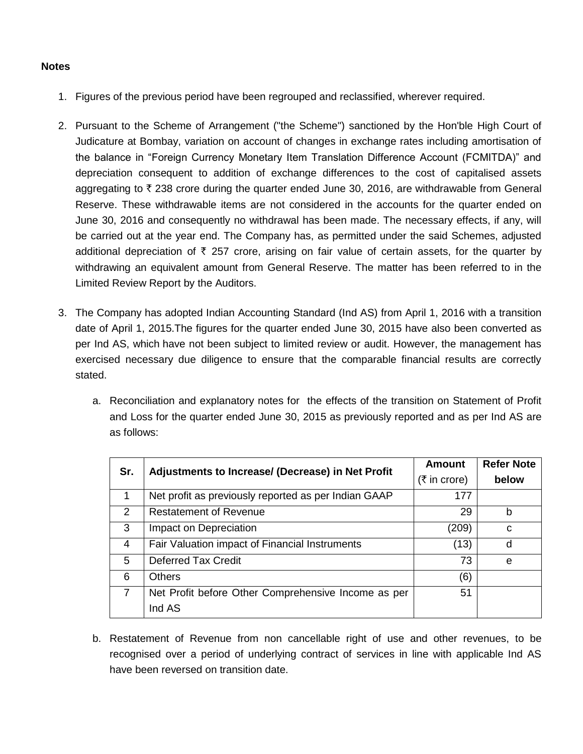## **Notes**

- 1. Figures of the previous period have been regrouped and reclassified, wherever required.
- 2. Pursuant to the Scheme of Arrangement ("the Scheme") sanctioned by the Hon'ble High Court of Judicature at Bombay, variation on account of changes in exchange rates including amortisation of the balance in "Foreign Currency Monetary Item Translation Difference Account (FCMITDA)" and depreciation consequent to addition of exchange differences to the cost of capitalised assets aggregating to  $\bar{\tau}$  238 crore during the quarter ended June 30, 2016, are withdrawable from General Reserve. These withdrawable items are not considered in the accounts for the quarter ended on June 30, 2016 and consequently no withdrawal has been made. The necessary effects, if any, will be carried out at the year end. The Company has, as permitted under the said Schemes, adjusted additional depreciation of  $\bar{\tau}$  257 crore, arising on fair value of certain assets, for the quarter by withdrawing an equivalent amount from General Reserve. The matter has been referred to in the Limited Review Report by the Auditors.
- 3. The Company has adopted Indian Accounting Standard (Ind AS) from April 1, 2016 with a transition date of April 1, 2015.The figures for the quarter ended June 30, 2015 have also been converted as per Ind AS, which have not been subject to limited review or audit. However, the management has exercised necessary due diligence to ensure that the comparable financial results are correctly stated.
	- a. Reconciliation and explanatory notes for the effects of the transition on Statement of Profit and Loss for the quarter ended June 30, 2015 as previously reported and as per Ind AS are as follows:

| Sr. | Adjustments to Increase/ (Decrease) in Net Profit    | <b>Amount</b>                 | <b>Refer Note</b> |
|-----|------------------------------------------------------|-------------------------------|-------------------|
|     |                                                      | $(5 \text{ in } \text{core})$ | below             |
| 1   | Net profit as previously reported as per Indian GAAP | 177                           |                   |
| 2   | <b>Restatement of Revenue</b>                        | 29                            | h                 |
| 3   | Impact on Depreciation                               | (209)                         | C                 |
| 4   | Fair Valuation impact of Financial Instruments       | (13)                          | d                 |
| 5   | <b>Deferred Tax Credit</b>                           | 73                            | e                 |
| 6   | <b>Others</b>                                        | (6)                           |                   |
| 7   | Net Profit before Other Comprehensive Income as per  | 51                            |                   |
|     | Ind AS                                               |                               |                   |

b. Restatement of Revenue from non cancellable right of use and other revenues, to be recognised over a period of underlying contract of services in line with applicable Ind AS have been reversed on transition date.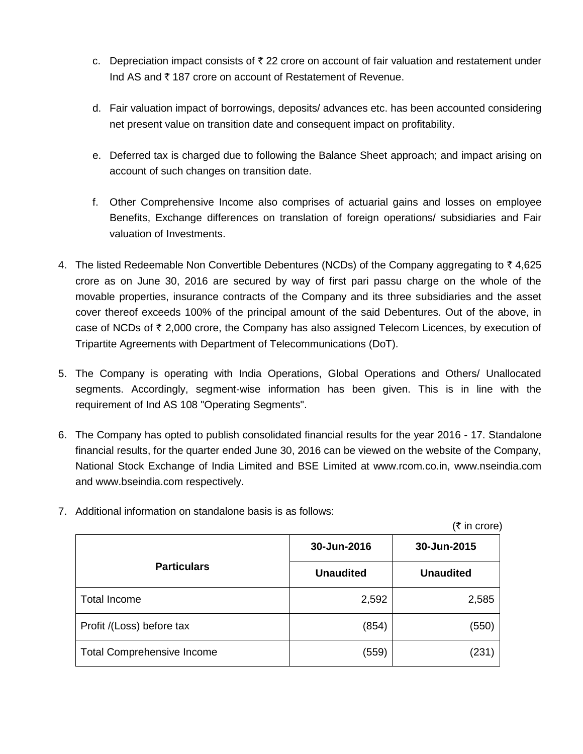- c. Depreciation impact consists of  $\bar{\tau}$  22 crore on account of fair valuation and restatement under Ind AS and  $\bar{\tau}$  187 crore on account of Restatement of Revenue.
- d. Fair valuation impact of borrowings, deposits/ advances etc. has been accounted considering net present value on transition date and consequent impact on profitability.
- e. Deferred tax is charged due to following the Balance Sheet approach; and impact arising on account of such changes on transition date.
- f. Other Comprehensive Income also comprises of actuarial gains and losses on employee Benefits, Exchange differences on translation of foreign operations/ subsidiaries and Fair valuation of Investments.
- 4. The listed Redeemable Non Convertible Debentures (NCDs) of the Company aggregating to  $\bar{z}$  4,625 crore as on June 30, 2016 are secured by way of first pari passu charge on the whole of the movable properties, insurance contracts of the Company and its three subsidiaries and the asset cover thereof exceeds 100% of the principal amount of the said Debentures. Out of the above, in case of NCDs of  $\bar{\tau}$  2,000 crore, the Company has also assigned Telecom Licences, by execution of Tripartite Agreements with Department of Telecommunications (DoT).
- 5. The Company is operating with India Operations, Global Operations and Others/ Unallocated segments. Accordingly, segment-wise information has been given. This is in line with the requirement of Ind AS 108 "Operating Segments".
- 6. The Company has opted to publish consolidated financial results for the year 2016 17. Standalone financial results, for the quarter ended June 30, 2016 can be viewed on the website of the Company, National Stock Exchange of India Limited and BSE Limited at www.rcom.co.in, www.nseindia.com and www.bseindia.com respectively.

|                                   |                  | (₹ in core)      |
|-----------------------------------|------------------|------------------|
|                                   | 30-Jun-2016      | 30-Jun-2015      |
| <b>Particulars</b>                | <b>Unaudited</b> | <b>Unaudited</b> |
| <b>Total Income</b>               | 2,592            | 2,585            |
| Profit /(Loss) before tax         | (854)            | (550)            |
| <b>Total Comprehensive Income</b> | (559)            | (231)            |

7. Additional information on standalone basis is as follows: